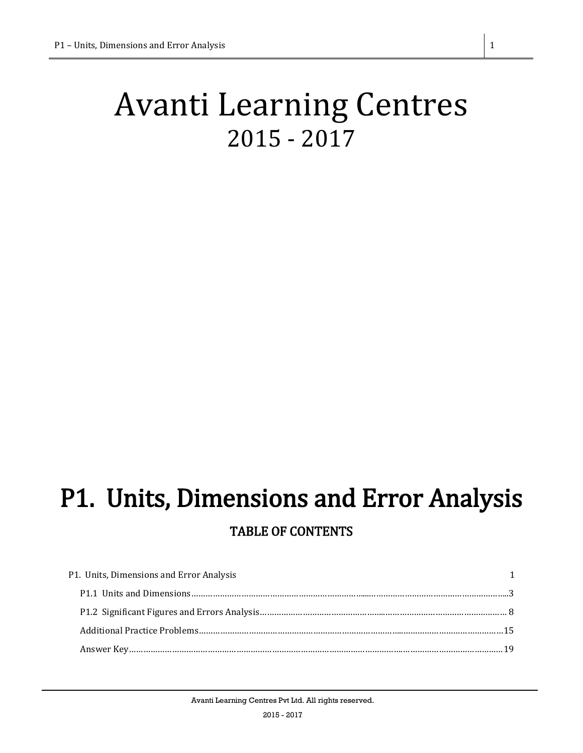# Avanti Learning Centres 2015 - 2017

# <span id="page-0-0"></span>P1. Units, Dimensions and Error Analysis TABLE OF CONTENTS

| P1. Units, Dimensions and Error Analysis |  |
|------------------------------------------|--|
|                                          |  |
|                                          |  |
|                                          |  |
|                                          |  |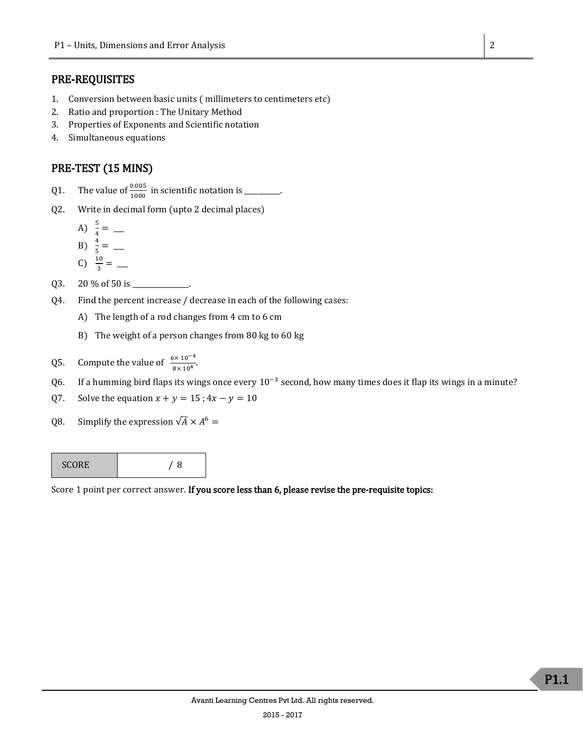# PRE-REQUISITES

- 1. Conversion between basic units ( millimeters to centimeters etc)
- 2. Ratio and proportion : The Unitary Method
- 3. Properties of Exponents and Scientific notation
- 4. Simultaneous equations

# PRE-TEST (15 MINS)

- Q1. The value of  $\frac{0.005}{1000}$  in scientific notation is \_\_\_\_\_\_\_.
- Q2. Write in decimal form (upto 2 decimal places)
	- A)  $\frac{5}{4} =$  \_\_\_\_\_ B)  $\frac{4}{5} =$  \_\_\_\_\_

$$
\begin{array}{c}\n -3 \\
 \hline\n 0\n \end{array}
$$

$$
C) \frac{10}{3} = \underline{\qquad}
$$

- Q3. 20 % of 50 is \_\_\_\_\_\_\_\_\_\_\_\_\_\_\_\_.
- Q4. Find the percent increase / decrease in each of the following cases:
	- A) The length of a rod changes from 4 cm to 6 cm
	- B) The weight of a person changes from 80 kg to 60 kg
- Q5. Compute the value of  $\frac{6 \times 10^{-4}}{8 \times 10^4}$ .
- Q6. If a humming bird flaps its wings once every  $10^{-3}$  second, how many times does it flap its wings in a minute?
- Q7. Solve the equation  $x + y = 15$ ;  $4x y = 10$
- Q8. Simplify the expression  $\sqrt{A} \times A^6 =$

| <b>SCORE</b> | 8 |
|--------------|---|
|--------------|---|

Score 1 point per correct answer. If you score less than 6, please revise the pre-requisite topics: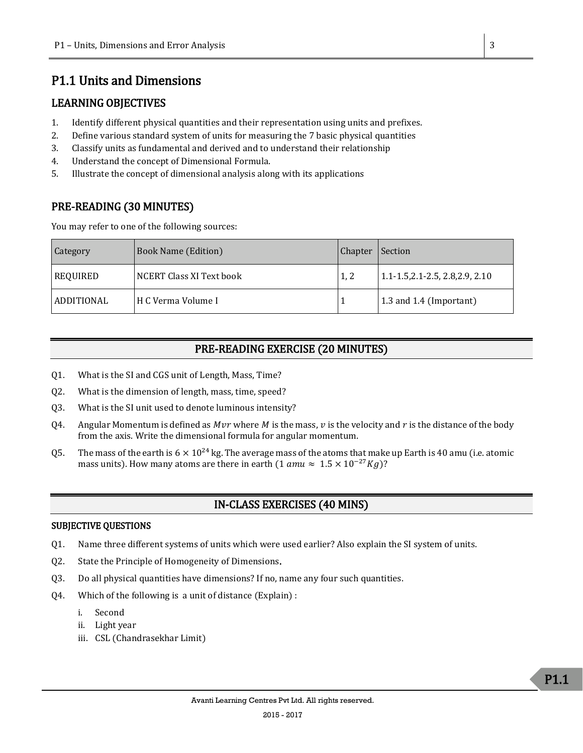# <span id="page-2-0"></span>P1.1 Units and Dimensions

# LEARNING OBJECTIVES

- 1. Identify different physical quantities and their representation using units and prefixes.
- 2. Define various standard system of units for measuring the 7 basic physical quantities
- 3. Classify units as fundamental and derived and to understand their relationship
- 4. Understand the concept of Dimensional Formula.
- 5. Illustrate the concept of dimensional analysis along with its applications

# PRE-READING (30 MINUTES)

You may refer to one of the following sources:

| Category   | <b>Book Name (Edition)</b> | Chapter | Section                                |
|------------|----------------------------|---------|----------------------------------------|
| REQUIRED   | NCERT Class XI Text book   | 1, 2    | $1.1 - 1.5, 2.1 - 2.5, 2.8, 2.9, 2.10$ |
| ADDITIONAL | H C Verma Volume I         |         | $\vert$ 1.3 and 1.4 (Important)        |

# PRE-READING EXERCISE (20 MINUTES)

- Q1. What is the SI and CGS unit of Length, Mass, Time?
- Q2. What is the dimension of length, mass, time, speed?
- Q3. What is the SI unit used to denote luminous intensity?
- Q4. Angular Momentum is defined as *Mvr* where *M* is the mass, *v* is the velocity and *r* is the distance of the body from the axis. Write the dimensional formula for angular momentum.
- Q5. The mass of the earth is  $6 \times 10^{24}$  kg. The average mass of the atoms that make up Earth is 40 amu (i.e. atomic mass units). How many atoms are there in earth (1  $amu \approx 1.5 \times 10^{-27} Kg$ )?

# IN-CLASS EXERCISES (40 MINS)

#### SUBJECTIVE QUESTIONS

- Q1. Name three different systems of units which were used earlier? Also explain the SI system of units.
- Q2. State the Principle of Homogeneity of Dimensions.
- Q3. Do all physical quantities have dimensions? If no, name any four such quantities.
- Q4. Which of the following is a unit of distance (Explain) :
	- i. Second
	- ii. Light year
	- iii. CSL (Chandrasekhar Limit)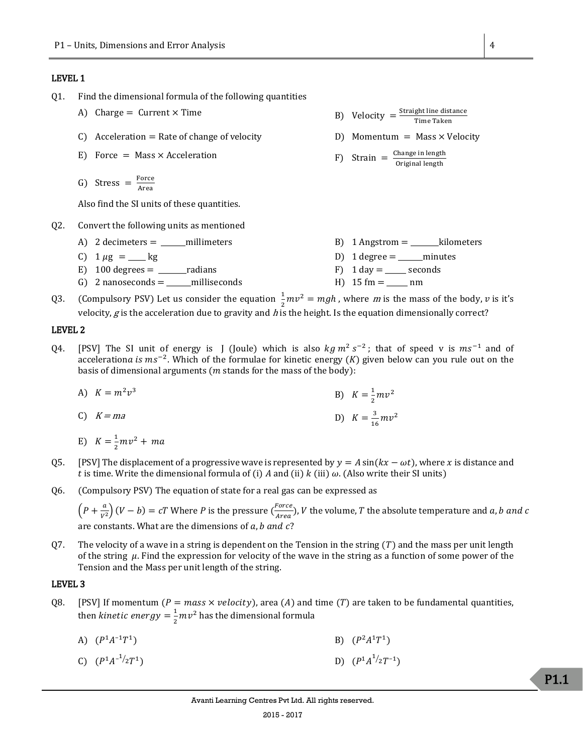#### LEVEL 1

- Q1. Find the dimensional formula of the following quantities
	- A) Charge = Current  $\times$  Time
	- C) Acceleration = Rate of change of velocity  $D$  Momentum = Mass  $\times$  Velocity
	- E) Force = Mass  $\times$  Acceleration
	- G) Stress  $=$   $\frac{Force}{Area}$ Area

Also find the SI units of these quantities.

- Q2. Convert the following units as mentioned
	- A) 2 decimeters = \_\_\_\_\_\_millimeters B) 1 Angstrom = \_\_\_\_\_\_\_kilometers C)  $1 \mu g = \mu g$  D)  $1 \text{ degree} = \mu m$  minutes E)  $100 \text{ degrees} =$  radians F)  $1 \text{ day} =$  seconds G) 2 nanoseconds =  $\text{milliseconds}$  H) 15 fm =  $\text{mm}$
- Q3. (Compulsory PSV) Let us consider the equation  $\frac{1}{2}mv^2 = mgh$ , where m is the mass of the body, v is it's velocity,  $g$  is the acceleration due to gravity and h is the height. Is the equation dimensionally correct?

#### LEVEL 2

- Q4. [PSV] The SI unit of energy is J (Joule) which is also  $kg m^2 s^{-2}$ ; that of speed v is  $ms^{-1}$  and of accelerationa is  $ms^{-2}$ . Which of the formulae for kinetic energy (K) given below can you rule out on the basis of dimensional arguments ( $m$  stands for the mass of the body):
	- A)  $K = m^2 v^3$ B)  $K = \frac{1}{2}$  $\frac{1}{2}mv^2$
	- C)  $K = ma$  D)  $K = \frac{3}{2}$  $\frac{3}{16}mv^2$
	- E)  $K = \frac{1}{2}$  $\frac{1}{2}mv^2 + ma$
- Q5. [PSV] The displacement of a progressive wave is represented by  $y = A \sin(kx \omega t)$ , where x is distance and t is time. Write the dimensional formula of (i) A and (ii)  $k$  (iii)  $\omega$ . (Also write their SI units)
- Q6. (Compulsory PSV) The equation of state for a real gas can be expressed as

 $\left( P+\frac{a}{\cdots}\right)$  $\left(\frac{a}{V^2}\right)(V-b) = cT$  Where P is the pressure  $\left(\frac{Force}{Area}\right)$  $\frac{F^{\text{OPE}}}{Area}$ ), *V* the volume, *T* the absolute temperature and *a*, *b* and *c* are constants. What are the dimensions of  $a$ ,  $b$  and  $c$ ?

Q7. The velocity of a wave in a string is dependent on the Tension in the string  $(T)$  and the mass per unit length of the string  $\mu$ . Find the expression for velocity of the wave in the string as a function of some power of the Tension and the Mass per unit length of the string.

#### LEVEL 3

- Q8. [PSV] If momentum ( $P = mass \times velocity$ ), area (A) and time (T) are taken to be fundamental quantities, then *kinetic energy* =  $\frac{1}{2}$  $\frac{1}{2}mv^2$  has the dimensional formula
	- A)  $(P^1A^{-1}T^1)$ ) B)  $(P$  $^{2}A^{1}T^{1}$
	- C)  $(P^1A^{-1/2}T^1)$ ( $P^1A^{1/2}T^{-1}$ )

P1.1

- Straight line distance Time Taken
- 
- Change in length nange in length<br>Original length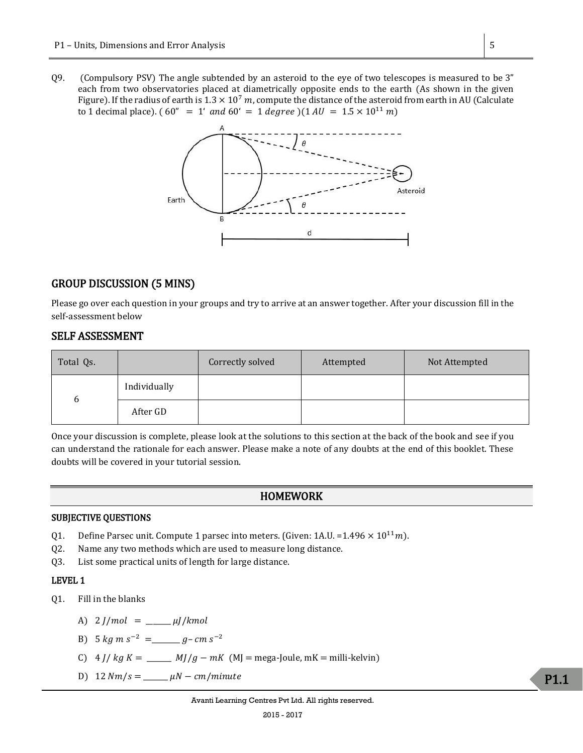Q9. (Compulsory PSV) The angle subtended by an asteroid to the eye of two telescopes is measured to be 3" each from two observatories placed at diametrically opposite ends to the earth (As shown in the given Figure). If the radius of earth is  $1.3 \times 10^7$  m, compute the distance of the asteroid from earth in AU (Calculate to 1 decimal place). (60" = 1' and 60' = 1 degree )(1 AU =  $1.5 \times 10^{11}$  m)



## GROUP DISCUSSION (5 MINS)

Please go over each question in your groups and try to arrive at an answer together. After your discussion fill in the self-assessment below

## SELF ASSESSMENT

| Total Qs. |              | Correctly solved | Attempted | Not Attempted |
|-----------|--------------|------------------|-----------|---------------|
| 6         | Individually |                  |           |               |
|           | After GD     |                  |           |               |

Once your discussion is complete, please look at the solutions to this section at the back of the book and see if you can understand the rationale for each answer. Please make a note of any doubts at the end of this booklet. These doubts will be covered in your tutorial session.

## HOMEWORK

### SUBJECTIVE QUESTIONS

- Q1. Define Parsec unit. Compute 1 parsec into meters. (Given: 1A.U. =  $1.496 \times 10^{11}$ m).
- Q2. Name any two methods which are used to measure long distance.
- Q3. List some practical units of length for large distance.

#### LEVEL 1

- Q1. Fill in the blanks
	- A)  $2 J/mol = \_ \mu J/kmol$
	- B)  $5 \ kg \ m \ s^{-2} = \_ g cm \ s^{-2}$
	- C)  $4 J/kg K =$  \_\_\_\_\_\_  $MJ/g mK$  (MJ = mega-Joule, mK = milli-kelvin)
	- D) 12  $Nm/s =$   $\mu N cm/minute$

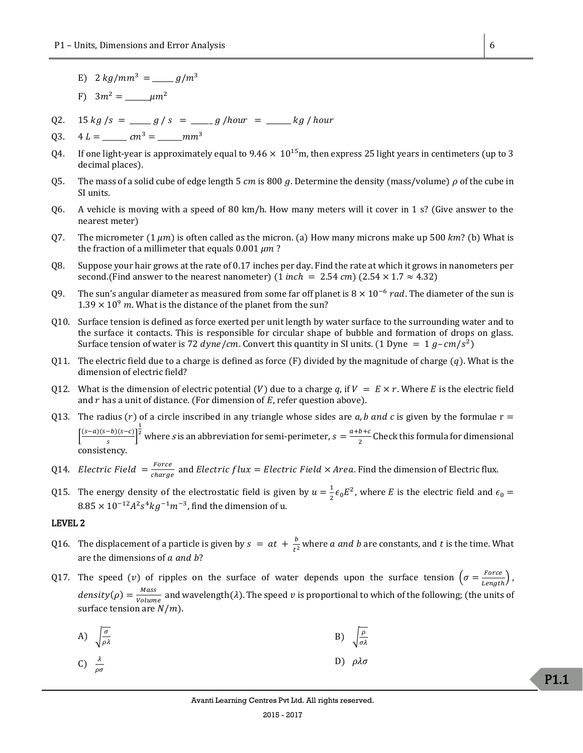- E)  $2 \frac{kg}{mm^3} = \frac{g}{m^3}$
- F) 3<sup>2</sup> = \_\_\_\_\_\_\_<sup>2</sup>
- Q2.  $15 kg/s = \underline{\hspace{2cm}} g / s = \underline{\hspace{2cm}} g / \text{hour} = \underline{\hspace{2cm}} kg / \text{hour}$

Q3. 4 =\_\_\_\_\_\_\_<sup>c</sup><sup>3</sup> = \_\_\_\_\_\_\_<sup>3</sup>

- Q4. If one light-year is approximately equal to  $9.46 \times 10^{15}$ m, then express 25 light years in centimeters (up to 3 decimal places).
- Q5. The mass of a solid cube of edge length 5  $cm$  is 800 g. Determine the density (mass/volume)  $\rho$  of the cube in SI units.
- Q6. A vehicle is moving with a speed of 80 km/h. How many meters will it cover in 1 s? (Give answer to the nearest meter)
- Q7. The micrometer  $(1 \mu m)$  is often called as the micron. (a) How many microns make up 500 km? (b) What is the fraction of a millimeter that equals  $0.001 \mu m$ ?
- Q8. Suppose your hair grows at the rate of 0.17 inches per day. Find the rate at which it grows in nanometers per second.(Find answer to the nearest nanometer)  $(1 \text{ inch} = 2.54 \text{ cm}) (2.54 \times 1.7 \approx 4.32)$
- Q9. The sun's angular diameter as measured from some far off planet is  $8 \times 10^{-6}$  rad. The diameter of the sun is  $1.39 \times 10^9$  m. What is the distance of the planet from the sun?
- Q10. Surface tension is defined as force exerted per unit length by water surface to the surrounding water and to the surface it contacts. This is responsible for circular shape of bubble and formation of drops on glass. Surface tension of water is 72 *dyne/cm*. Convert this quantity in SI units. (1 Dyne =  $1 g$ -*cm/s*<sup>2</sup>)
- Q11. The electric field due to a charge is defined as force  $(F)$  divided by the magnitude of charge  $(q)$ . What is the dimension of electric field?
- Q12. What is the dimension of electric potential (V) due to a charge q, if  $V = E \times r$ . Where E is the electric field and  $r$  has a unit of distance. (For dimension of  $E$ , refer question above).
- Q13. The radius (r) of a circle inscribed in any triangle whose sides are  $a$ ,  $b$  and  $c$  is given by the formulae  $r =$  $\int \frac{(s-a)(s-b)(s-c)}{c}$  $\frac{-\nu_{1}(s-\nu)}{s}$  $\frac{1}{2}$  where *s* is an abbreviation for semi-perimeter,  $s = \frac{a+b+c}{2}$  $\frac{b+c}{2}$  Check this formula for dimensional consistency.
- Q14. Electric Field  $=\frac{Force}{other}$  $\frac{P_{\text{other}}}{charge}$  and *Electric flux = Electric Field*  $\times$  *Area*. Find the dimension of Electric flux.
- Q15. The energy density of the electrostatic field is given by  $u=\frac{1}{2}$  $\frac{1}{2} \epsilon_0 E^2$ , where *E* is the electric field and  $\epsilon_0 =$  $8.85 \times 10^{-12} A^2 s^4 kg^{-1} m^{-3}$ , find the dimension of u.

#### LEVEL 2

- Q16. The displacement of a particle is given by  $s = at + \frac{b}{\sqrt{2}}$  $\frac{v}{t^2}$  where *a and b* are constants, and *t* is the time. What are the dimensions of  $a$  and  $b$ ?
- Q17. The speed (v) of ripples on the surface of water depends upon the surface tension  $\left(\sigma = \frac{Force}{t_{max}}\right)$  $\frac{1}{Length}$ ,  $density(\rho) = \frac{Mass}{4}$  $\frac{m_{diss}}{Volume}$  and wavelength( $\lambda$ ). The speed  $v$  is proportional to which of the following; (the units of surface tension are  $N/m$ ).

A) 
$$
\sqrt{\frac{\sigma}{\rho \lambda}}
$$
 \t\t B)  $\sqrt{\frac{\rho}{\sigma \lambda}}$ 

C) 
$$
\frac{\lambda}{\rho \sigma}
$$
 D)  $\rho \lambda \sigma$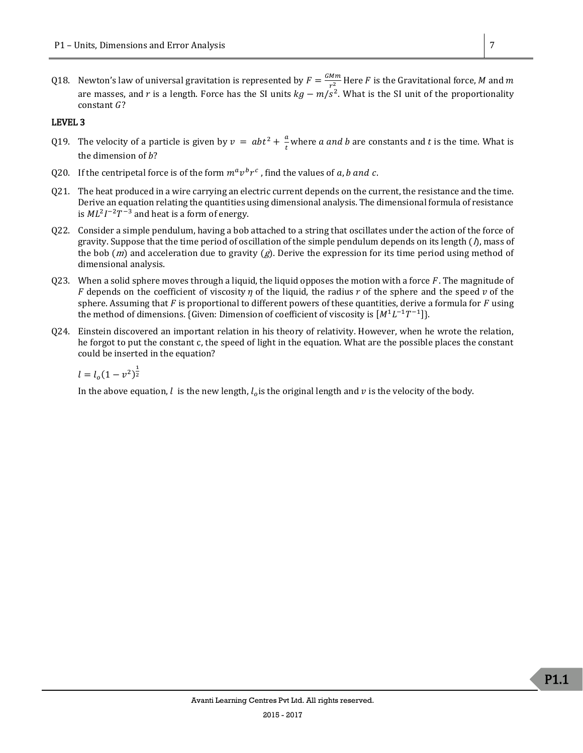Q18. Newton's law of universal gravitation is represented by  $F = \frac{GMm}{c^2}$  $\frac{m m}{r^2}$  Here  $F$  is the Gravitational force,  $M$  and  $m$ are masses, and r is a length. Force has the SI units  $kg - m/s^2$ . What is the SI unit of the proportionality constant  $G$ ?

#### LEVEL 3

- Q19. The velocity of a particle is given by  $v = abt^2 + \frac{a}{b}$  $\frac{u}{t}$  where *a and b* are constants and *t* is the time. What is the dimension of  $b$ ?
- Q20. If the centripetal force is of the form  $m^a v^b r^c$  , find the values of a, b and c.
- Q21. The heat produced in a wire carrying an electric current depends on the current, the resistance and the time. Derive an equation relating the quantities using dimensional analysis. The dimensional formula of resistance is  $ML^2I^{-2}T^{-3}$  and heat is a form of energy.
- Q22. Consider a simple pendulum, having a bob attached to a string that oscillates under the action of the force of gravity. Suppose that the time period of oscillation of the simple pendulum depends on its length  $(\Lambda)$ , mass of the bob  $(m)$  and acceleration due to gravity  $(g)$ . Derive the expression for its time period using method of dimensional analysis.
- 023. When a solid sphere moves through a liquid, the liquid opposes the motion with a force  $F$ . The magnitude of F depends on the coefficient of viscosity  $\eta$  of the liquid, the radius r of the sphere and the speed v of the sphere. Assuming that  $F$  is proportional to different powers of these quantities, derive a formula for  $F$  using the method of dimensions. {Given: Dimension of coefficient of viscosity is  $[M^1L^{-1}T^{-1}].$
- Q24. Einstein discovered an important relation in his theory of relativity. However, when he wrote the relation, he forgot to put the constant c, the speed of light in the equation. What are the possible places the constant could be inserted in the equation?

 $l = l_o(1 - v^2)^{\frac{1}{2}}$ 

In the above equation,  $l$  is the new length,  $l_o$  is the original length and  $v$  is the velocity of the body.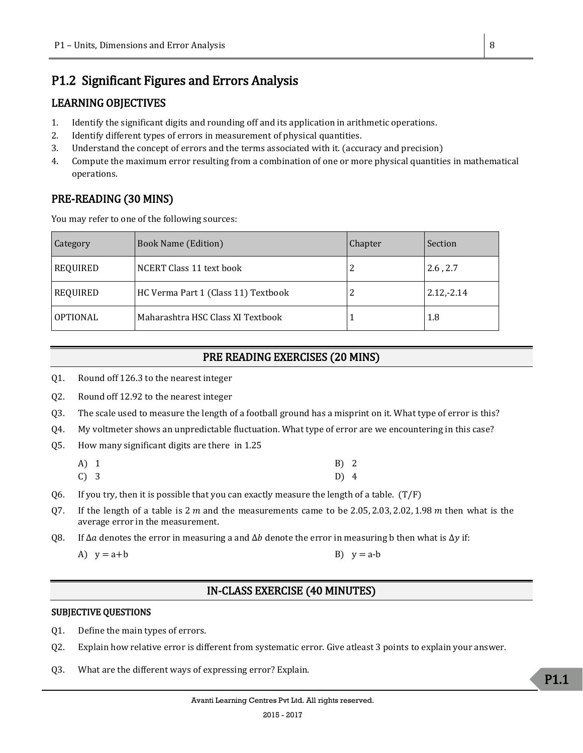# <span id="page-7-0"></span>P1.2 Significant Figures and Errors Analysis

# LEARNING OBJECTIVES

- 1. Identify the significant digits and rounding off and its application in arithmetic operations.
- 2. Identify different types of errors in measurement of physical quantities.
- 3. Understand the concept of errors and the terms associated with it. (accuracy and precision)
- 4. Compute the maximum error resulting from a combination of one or more physical quantities in mathematical operations.

# PRE-READING (30 MINS)

You may refer to one of the following sources:

| Category        | <b>Book Name (Edition)</b>          | <b>Chapter</b> | Section      |
|-----------------|-------------------------------------|----------------|--------------|
| <b>REQUIRED</b> | NCERT Class 11 text book            | 2              | 2.6, 2.7     |
| <b>REQUIRED</b> | HC Verma Part 1 (Class 11) Textbook | 2              | $2.12,-2.14$ |
| OPTIONAL        | Maharashtra HSC Class XI Textbook   |                | 1.8          |

# PRE READING EXERCISES (20 MINS)

- Q1. Round off 126.3 to the nearest integer
- Q2. Round off 12.92 to the nearest integer
- Q3. The scale used to measure the length of a football ground has a misprint on it. What type of error is this?
- Q4. My voltmeter shows an unpredictable fluctuation. What type of error are we encountering in this case?
- Q5. How many significant digits are there in 1.25

| $A)$ 1 | B) 2 |  |
|--------|------|--|
| C) 3   | D) 4 |  |

- Q6. If you try, then it is possible that you can exactly measure the length of a table.  $(T/F)$
- Q7. If the length of a table is  $2 m$  and the measurements came to be 2.05, 2.03, 2.02, 1.98  $m$  then what is the average error in the measurement.
- Q8. If  $\Delta \alpha$  denotes the error in measuring a and  $\Delta b$  denote the error in measuring b then what is  $\Delta y$  if:

```
A) y = a+b B) y = a-b
```
# IN-CLASS EXERCISE (40 MINUTES)

## SUBJECTIVE QUESTIONS

- Q1. Define the main types of errors.
- Q2. Explain how relative error is different from systematic error. Give atleast 3 points to explain your answer.
- Q3. What are the different ways of expressing error? Explain.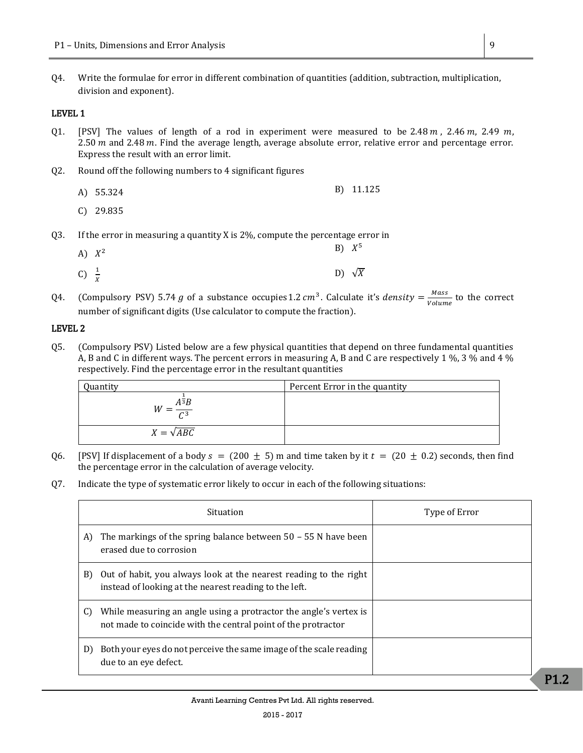Q4. Write the formulae for error in different combination of quantities (addition, subtraction, multiplication, division and exponent).

#### LEVEL 1

- Q1. [PSV] The values of length of a rod in experiment were measured to be 2.48  $m$ , 2.46  $m$ , 2.49  $m$ , 2.50  $m$  and 2.48  $m$ . Find the average length, average absolute error, relative error and percentage error. Express the result with an error limit.
- Q2. Round off the following numbers to 4 significant figures
	- A) 55.324 B) 11.125
	- C) 29.835
- Q3. If the error in measuring a quantity X is 2%, compute the percentage error in
	- A)  $X^2$ 2 B) X  $B) X^5$ C)  $\frac{1}{X}$ D)  $\sqrt{X}$
- Q4. (Compulsory PSV) 5.74 g of a substance occupies 1.2  $cm^3$ . Calculate it's density =  $\frac{Mass}{Volume}$  $\frac{mass}{Volume}$  to the correct number of significant digits (Use calculator to compute the fraction).

#### LEVEL 2

Q5. (Compulsory PSV) Listed below are a few physical quantities that depend on three fundamental quantities A, B and C in different ways. The percent errors in measuring A, B and C are respectively 1 %, 3 % and 4 % respectively. Find the percentage error in the resultant quantities

| Quantity                        | Percent Error in the quantity |
|---------------------------------|-------------------------------|
| $A^3B$<br>W<br>$\overline{C^3}$ |                               |
| $X = \sqrt{ABC}$                |                               |

- Q6. [PSV] If displacement of a body  $s = (200 \pm 5)$  m and time taken by it  $t = (20 \pm 0.2)$  seconds, then find the percentage error in the calculation of average velocity.
- Q7. Indicate the type of systematic error likely to occur in each of the following situations:

|                             | Situation                                                                                                                          | Type of Error |
|-----------------------------|------------------------------------------------------------------------------------------------------------------------------------|---------------|
| A)                          | The markings of the spring balance between $50 - 55$ N have been<br>erased due to corrosion                                        |               |
| B)                          | Out of habit, you always look at the nearest reading to the right<br>instead of looking at the nearest reading to the left.        |               |
| C)                          | While measuring an angle using a protractor the angle's vertex is<br>not made to coincide with the central point of the protractor |               |
| D)<br>due to an eye defect. | Both your eyes do not perceive the same image of the scale reading                                                                 |               |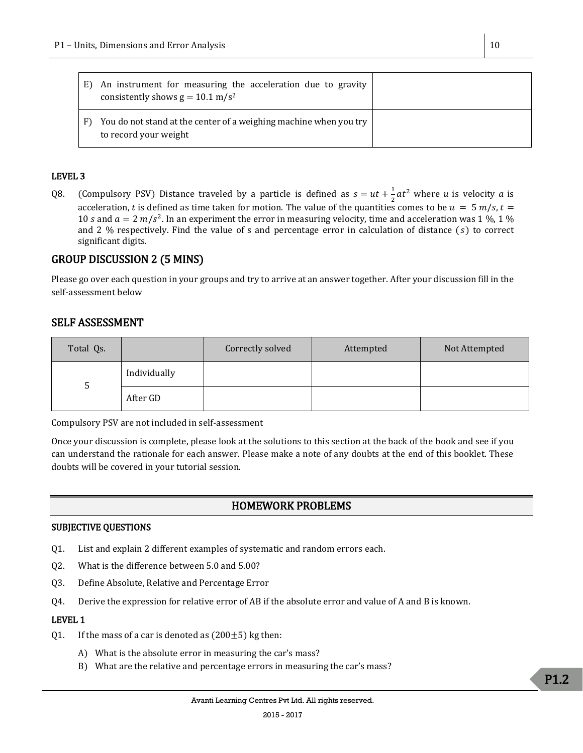| E) | An instrument for measuring the acceleration due to gravity<br>consistently shows $g = 10.1$ m/s <sup>2</sup> |  |
|----|---------------------------------------------------------------------------------------------------------------|--|
|    | You do not stand at the center of a weighing machine when you try<br>to record your weight                    |  |

#### LEVEL 3

Q8. (Compulsory PSV) Distance traveled by a particle is defined as  $s = ut + \frac{1}{3}$  $\frac{1}{2}at^2$  where u is velocity a is acceleration, t is defined as time taken for motion. The value of the quantities comes to be  $u = 5$  m/s,  $t =$ 10 s and  $a = 2 m/s^2$ . In an experiment the error in measuring velocity, time and acceleration was 1 %, 1 % and 2 % respectively. Find the value of s and percentage error in calculation of distance  $(s)$  to correct significant digits.

## GROUP DISCUSSION 2 (5 MINS)

Please go over each question in your groups and try to arrive at an answer together. After your discussion fill in the self-assessment below

## SELF ASSESSMENT

| Total Qs. |              | Correctly solved | Attempted | Not Attempted |
|-----------|--------------|------------------|-----------|---------------|
|           | Individually |                  |           |               |
| C         | After GD     |                  |           |               |

Compulsory PSV are not included in self-assessment

Once your discussion is complete, please look at the solutions to this section at the back of the book and see if you can understand the rationale for each answer. Please make a note of any doubts at the end of this booklet. These doubts will be covered in your tutorial session.

## HOMEWORK PROBLEMS

#### SUBJECTIVE QUESTIONS

- Q1. List and explain 2 different examples of systematic and random errors each.
- Q2. What is the difference between 5.0 and 5.00?
- Q3. Define Absolute, Relative and Percentage Error
- Q4. Derive the expression for relative error of AB if the absolute error and value of A and B is known.

#### LEVEL 1

- Q1. If the mass of a car is denoted as  $(200\pm5)$  kg then:
	- A) What is the absolute error in measuring the car's mass?
	- B) What are the relative and percentage errors in measuring the car's mass?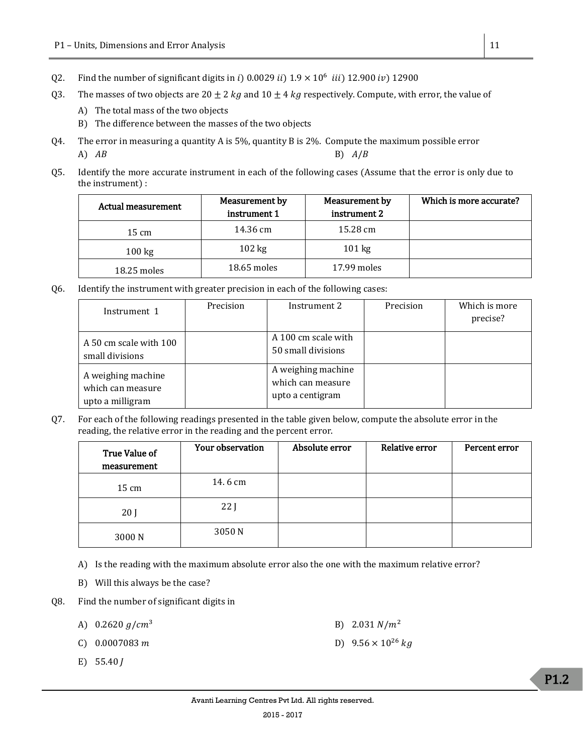- Q2. Find the number of significant digits in i) 0.0029 ii)  $1.9 \times 10^6$  iii) 12.900 iv) 12900
- Q3. The masses of two objects are  $20 \pm 2$  kg and  $10 \pm 4$  kg respectively. Compute, with error, the value of
	- A) The total mass of the two objects
	- B) The difference between the masses of the two objects
- Q4. The error in measuring a quantity A is 5%, quantity B is 2%. Compute the maximum possible error A)  $AB$  B)  $A/B$
- Q5. Identify the more accurate instrument in each of the following cases (Assume that the error is only due to the instrument) :

| Measurement by<br>Actual measurement<br>instrument 1 |                  | Measurement by<br>instrument 2 | Which is more accurate? |
|------------------------------------------------------|------------------|--------------------------------|-------------------------|
| $15 \text{ cm}$                                      | 14.36 cm         | 15.28 cm                       |                         |
| $100 \text{ kg}$                                     | $102 \text{ kg}$ | $101 \text{ kg}$               |                         |
| $18.25$ moles                                        | $18.65$ moles    | $17.99$ moles                  |                         |

Q6. Identify the instrument with greater precision in each of the following cases:

| Instrument 1                                                | Precision | Instrument 2                                                | Precision | Which is more<br>precise? |
|-------------------------------------------------------------|-----------|-------------------------------------------------------------|-----------|---------------------------|
| A 50 cm scale with 100<br>small divisions                   |           | A 100 cm scale with<br>50 small divisions                   |           |                           |
| A weighing machine<br>which can measure<br>upto a milligram |           | A weighing machine<br>which can measure<br>upto a centigram |           |                           |

Q7. For each of the following readings presented in the table given below, compute the absolute error in the reading, the relative error in the reading and the percent error.

| True Value of<br>measurement | Your observation | Absolute error | Relative error | Percent error |
|------------------------------|------------------|----------------|----------------|---------------|
| $15 \text{ cm}$              | 14.6 cm          |                |                |               |
| 20 <sub>1</sub>              | 22 <sub>1</sub>  |                |                |               |
| 3000N                        | 3050 N           |                |                |               |

- A) Is the reading with the maximum absolute error also the one with the maximum relative error?
- B) Will this always be the case?
- Q8. Find the number of significant digits in
	- A)  $0.2620 g/cm^3$  B)  $2.031 N/m^2$
	- C)  $0.0007083 \, m$  D)  $9.56 \times 10^{26} \, kg$
	- E)  $55.40 J$

P1.2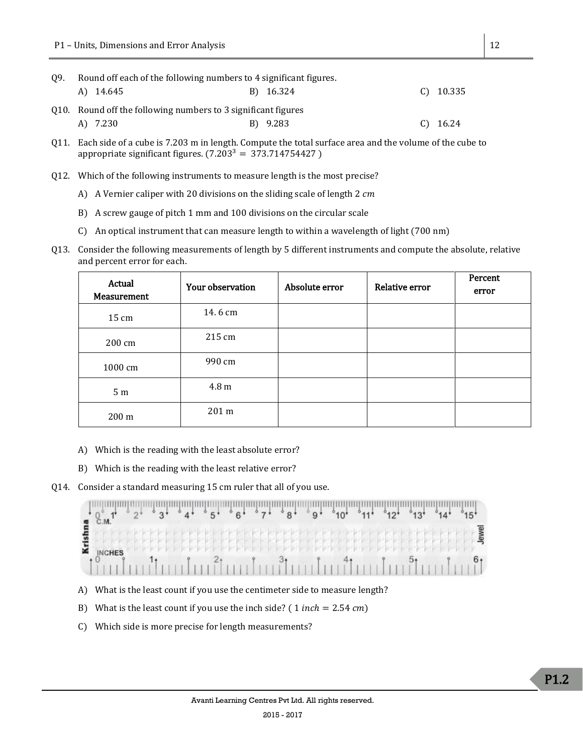| 09. | Round off each of the following numbers to 4 significant figures. |  |           |  |             |  |  |
|-----|-------------------------------------------------------------------|--|-----------|--|-------------|--|--|
|     | A) 14.645                                                         |  | B) 16.324 |  | $C)$ 10.335 |  |  |
|     | Q10. Round off the following numbers to 3 significant figures     |  |           |  |             |  |  |
|     | A) 7.230                                                          |  | B) 9.283  |  | $C)$ 16.24  |  |  |

- Q11. Each side of a cube is 7.203 m in length. Compute the total surface area and the volume of the cube to appropriate significant figures.  $(7.203<sup>3</sup> = 373.714754427)$
- Q12. Which of the following instruments to measure length is the most precise?
	- A) A Vernier caliper with 20 divisions on the sliding scale of length 2 cm
	- B) A screw gauge of pitch 1 mm and 100 divisions on the circular scale
	- C) An optical instrument that can measure length to within a wavelength of light (700 nm)
- Q13. Consider the following measurements of length by 5 different instruments and compute the absolute, relative and percent error for each.

| Actual<br>Measurement | Your observation | Absolute error | Relative error | Percent<br>error |
|-----------------------|------------------|----------------|----------------|------------------|
| $15 \text{ cm}$       | 14.6 cm          |                |                |                  |
| 200 cm                | 215 cm           |                |                |                  |
| 1000 cm               | 990 cm           |                |                |                  |
| 5 <sub>m</sub>        | 4.8 m            |                |                |                  |
| 200 m                 | 201 m            |                |                |                  |

- A) Which is the reading with the least absolute error?
- B) Which is the reading with the least relative error?
- Q14. Consider a standard measuring 15 cm ruler that all of you use.



- A) What is the least count if you use the centimeter side to measure length?
- B) What is the least count if you use the inch side? (1  $inch = 2.54$   $cm$ )
- C) Which side is more precise for length measurements?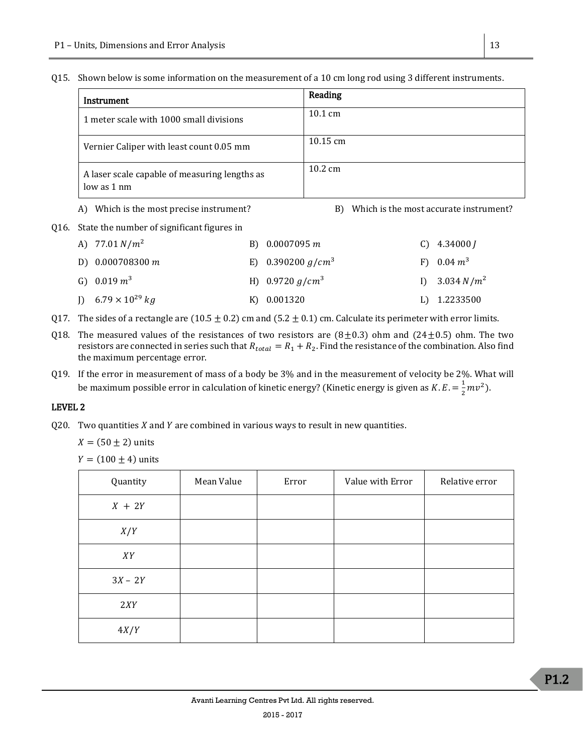Q15. Shown below is some information on the measurement of a 10 cm long rod using 3 different instruments.

| Instrument                                                     | Reading            |
|----------------------------------------------------------------|--------------------|
| 1 meter scale with 1000 small divisions                        | $10.1 \text{ cm}$  |
| Vernier Caliper with least count 0.05 mm                       | $10.15 \text{ cm}$ |
| A laser scale capable of measuring lengths as<br>$low$ as 1 nm | $10.2 \text{ cm}$  |

A) Which is the most precise instrument? B) Which is the most accurate instrument?

Q16. State the number of significant figures in

| A) $77.01 N/m^2$            | B) $0.0007095 m$     | $C)$ 4.34000 <i>I</i> |
|-----------------------------|----------------------|-----------------------|
| D) $0.000708300 m$          | E) 0.390200 $q/cm^3$ | F) $0.04 \, m^3$      |
| G) 0.019 $m^3$              | H) $0.9720 g/cm^3$   | I) $3.034 N/m^2$      |
| J) $6.79 \times 10^{29} kg$ | K) 0.001320          | L) 1.2233500          |

- Q17. The sides of a rectangle are (10.5  $\pm$  0.2) cm and (5.2  $\pm$  0.1) cm. Calculate its perimeter with error limits.
- Q18. The measured values of the resistances of two resistors are  $(8\pm0.3)$  ohm and  $(24\pm0.5)$  ohm. The two resistors are connected in series such that  $R_{total} = R_1 + R_2$ . Find the resistance of the combination. Also find the maximum percentage error.

Q19. If the error in measurement of mass of a body be 3% and in the measurement of velocity be 2%. What will be maximum possible error in calculation of kinetic energy? (Kinetic energy is given as K.  $E = \frac{1}{2}$  $\frac{1}{2}mv^2$ ).

## LEVEL 2

Q20. Two quantities  $X$  and  $Y$  are combined in various ways to result in new quantities.

 $X = (50 \pm 2)$  units

 $Y = (100 \pm 4)$  units

| Quantity  | Mean Value | Error | Value with Error | Relative error |
|-----------|------------|-------|------------------|----------------|
| $X + 2Y$  |            |       |                  |                |
| X/Y       |            |       |                  |                |
| XY        |            |       |                  |                |
| $3X - 2Y$ |            |       |                  |                |
| 2XY       |            |       |                  |                |
| 4X/Y      |            |       |                  |                |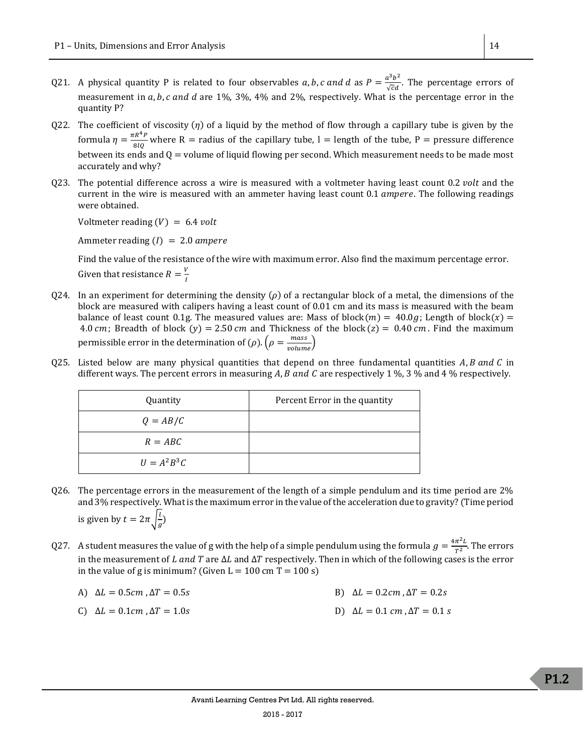- Q21. A physical quantity P is related to four observables a, b, c and d as  $P = \frac{a^3b^2}{\sqrt{a^2}}$  $\frac{d^2b}{\sqrt{c}d}$ . The percentage errors of measurement in  $a$ ,  $b$ ,  $c$  and  $d$  are 1%, 3%, 4% and 2%, respectively. What is the percentage error in the quantity P?
- Q22. The coefficient of viscosity  $(\eta)$  of a liquid by the method of flow through a capillary tube is given by the formula  $\eta = \frac{\pi R^4 P}{g/a}$  $\frac{R}{8lQ}$  where R = radius of the capillary tube, l = length of the tube, P = pressure difference between its ends and  $Q =$  volume of liquid flowing per second. Which measurement needs to be made most accurately and why?
- Q23. The potential difference across a wire is measured with a voltmeter having least count 0.2 *volt* and the current in the wire is measured with an ammeter having least count  $0.1$  *ampere*. The following readings were obtained.

Voltmeter reading  $(V) = 6.4$  volt

Ammeter reading  $(I) = 2.0$  ampere

Find the value of the resistance of the wire with maximum error. Also find the maximum percentage error. Given that resistance  $R = \frac{V}{I}$ I

- Q24. In an experiment for determining the density ( $\rho$ ) of a rectangular block of a metal, the dimensions of the block are measured with calipers having a least count of 0.01 cm and its mass is measured with the beam balance of least count 0.1g. The measured values are: Mass of block $(m) = 40.0g$ ; Length of block $(x) =$ 4.0 cm; Breadth of block (y) = 2.50 cm and Thickness of the block (z) = 0.40 cm. Find the maximum permissible error in the determination of ( $\rho$ ).  $(\rho = \frac{mass}{volume})$
- Q25. Listed below are many physical quantities that depend on three fundamental quantities  $A, B$  and  $C$  in different ways. The percent errors in measuring A, B and C are respectively 1 %, 3 % and 4 % respectively.

| Quantity        | Percent Error in the quantity |
|-----------------|-------------------------------|
| $Q = AB/C$      |                               |
| $R = ABC$       |                               |
| $U = A^2 B^3 C$ |                               |

- Q26. The percentage errors in the measurement of the length of a simple pendulum and its time period are 2% and 3% respectively. What is the maximum error in the value of the acceleration due to gravity? (Time period is given by  $t = 2\pi \int_{0}^{1}$  $\frac{1}{g}$
- Q27. A student measures the value of g with the help of a simple pendulum using the formula  $g = \frac{4\pi^2 L}{\pi^2}$  $\frac{n}{T^2}$ . The errors in the measurement of L and T are  $\Delta L$  and  $\Delta T$  respectively. Then in which of the following cases is the error in the value of g is minimum? (Given  $L = 100$  cm  $T = 100$  s)

| A) $\Delta L = 0.5$ cm, $\Delta T = 0.5$ s | B) $\Delta L = 0.2$ cm, $\Delta T = 0.2$ s                      |
|--------------------------------------------|-----------------------------------------------------------------|
| C) $\Delta L = 0.1$ cm, $\Delta T = 1.0$ s | D) $\Delta L = 0.1 \, \text{cm}$ , $\Delta T = 0.1 \, \text{s}$ |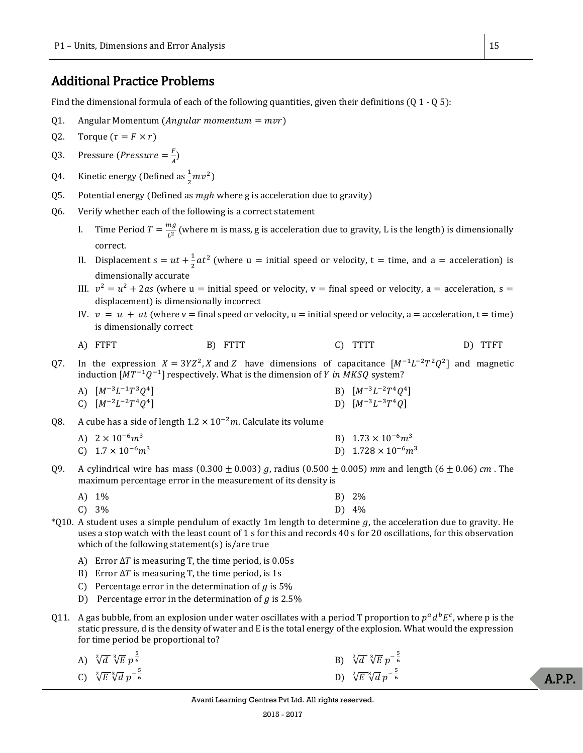# <span id="page-14-0"></span>Additional Practice Problems

Find the dimensional formula of each of the following quantities, given their definitions (Q 1 - Q 5):

- Q1. Angular Momentum (Angular momentum  $= mvr$ )
- Q2. Torque ( $\tau = F \times r$ )
- Q3. Pressure (*Pressure*  $=$   $\frac{F}{4}$  $\frac{r}{A}$
- Q4. Kinetic energy (Defined as  $\frac{1}{2}mv^2$ )
- 05. Potential energy (Defined as  $mgh$  where g is acceleration due to gravity)
- Q6. Verify whether each of the following is a correct statement
	- I. Time Period  $T = \frac{mg}{l^2}$  $\frac{u_g}{L^2}$  (where m is mass, g is acceleration due to gravity, L is the length) is dimensionally correct.
	- II. Displacement  $s = ut + \frac{1}{2}$  $\frac{1}{2}at^2$  (where u = initial speed or velocity, t = time, and a = acceleration) is dimensionally accurate
	- III.  $v^2 = u^2 + 2as$  (where  $u =$  initial speed or velocity,  $v =$  final speed or velocity, a = acceleration, s = displacement) is dimensionally incorrect
	- IV.  $v = u + at$  (where v = final speed or velocity, u = initial speed or velocity, a = acceleration, t = time) is dimensionally correct
	- A) FTFT B) FTTT C) TTTT D) TTFT
- Q7. In the expression  $X = 3YZ^2$ , X and Z have dimensions of capacitance  $[M^{-1}L^{-2}T^2Q^2]$  and magnetic induction  $[MT^{-1}Q^{-1}]$  respectively. What is the dimension of Y in MKSQ system?
	- A)  $[M^{-3}L^{-1}T^3Q^4]$ ] B)  $[M^{-3}L^{-2}T^4Q^4]$ C)  $[M^{-2}L^{-2}T^4Q^4]$  $\Box$  D)  $[M^{-3}L^{-3}T^4Q]$

Q8. A cube has a side of length  $1.2 \times 10^{-2}$ m. Calculate its volume

- A)  $2 \times 10^{-6} m^3$  B)  $1.73 \times 10^{-6} m^3$
- C)  $1.7 \times 10^{-6} m^3$  D)  $1.728 \times 10^{-6} m^3$
- Q9. A cylindrical wire has mass  $(0.300 \pm 0.003)$  g, radius  $(0.500 \pm 0.005)$  mm and length  $(6 \pm 0.06)$  cm. The maximum percentage error in the measurement of its density is

| A) 1%    | $B) 2\%$ |
|----------|----------|
| $C) 3\%$ | $D) 4\%$ |

- $*Q10$ . A student uses a simple pendulum of exactly 1m length to determine g, the acceleration due to gravity. He uses a stop watch with the least count of 1 s for this and records 40 s for 20 oscillations, for this observation which of the following statement(s) is/are true
	- A) Error  $\Delta T$  is measuring T, the time period, is 0.05s
	- B) Error  $\Delta T$  is measuring T, the time period, is 1s
	- C) Percentage error in the determination of  $g$  is 5%
	- D) Percentage error in the determination of  $q$  is 2.5%
- Q11. A gas bubble, from an explosion under water oscillates with a period T proportion to  $p^a d^b E^c$ , where p is the static pressure, d is the density of water and E is the total energy of the explosion. What would the expression for time period be proportional to?
	- A)  $\sqrt[2]{d} \sqrt[3]{E} p^{\frac{5}{6}}$  $B) \sqrt[3]{d} \sqrt[3]{E} p^{-\frac{5}{6}}$ C)  $\sqrt[2]{E} \sqrt[3]{d} p^{-\frac{5}{6}}$  $\frac{5}{6}$  D)  $\sqrt[3]{E} \sqrt[3]{d} p^{-\frac{5}{6}}$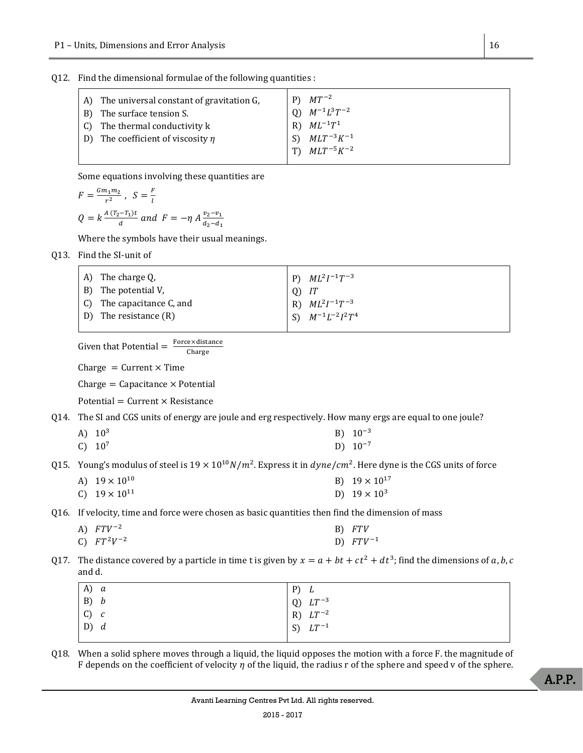Q12. Find the dimensional formulae of the following quantities :

| A) The universal constant of gravitation G,<br>B) The surface tension S. | $P$ $MT^{-2}$<br>(0) $M^{-1}L^3T^{-2}$ |
|--------------------------------------------------------------------------|----------------------------------------|
| $\mid$ C) The thermal conductivity k                                     | R) $ML^{-1}T^1$                        |
| D) The coefficient of viscosity $\eta$                                   | S) $MLT^{-3}K^{-1}$                    |
|                                                                          | T) $MLT^{-5}K^{-2}$                    |

Some equations involving these quantities are

$$
F = \frac{Gm_1m_2}{r^2}, \quad S = \frac{F}{l}
$$
  

$$
Q = k \frac{A(T_2 - T_1)t}{d} \quad and \quad F = -\eta A \frac{v_2 - v_1}{d_2 - d_1}
$$

Where the symbols have their usual meanings.

Q13. Find the SI-unit of

| A) The charge Q,          |          | $  P) M L^2 I^{-1} T^{-3}$ |
|---------------------------|----------|----------------------------|
| B) The potential V,       | $Q$ ) IT |                            |
| C) The capacitance C, and |          | R) $ML^2I^{-1}T^{-3}$      |
| D) The resistance (R)     |          | S) $M^{-1}L^{-2}I^2T^4$    |

Given that Potential = 
$$
\frac{Force \times distance}{charge}
$$

Charge =  $Current \times Time$ 

 $Change = Capacitance \times Potential$ 

 $Potential = Current \times Resistance$ 

Q14. The SI and CGS units of energy are joule and erg respectively. How many ergs are equal to one joule?

- A)  $10^3$  B)  $10^{-3}$
- C)  $10^7$  D)  $10^{-7}$

Q15. Young's modulus of steel is  $19 \times 10^{10} N/m^2$ . Express it in  $dyne/cm^2$ . Here dyne is the CGS units of force

A)  $19 \times 10^{10}$  B)  $19 \times 10^{17}$ C)  $19 \times 10^{11}$  D)  $19 \times 10^3$ 

Q16. If velocity, time and force were chosen as basic quantities then find the dimension of mass

| A) $FTV^{-2}$   | B) FTV        |
|-----------------|---------------|
| C) $FT^2V^{-2}$ | D) $FTV^{-1}$ |

Q17. The distance covered by a particle in time t is given by  $x = a + bt + ct^2 + dt^3$ ; find the dimensions of a, b, c and d.

| $\begin{array}{ccc} \text{A)} & a \\ \text{B)} & b \\ \text{C)} & c \\ \text{D)} & d \end{array}$ | P) L                                         |
|---------------------------------------------------------------------------------------------------|----------------------------------------------|
|                                                                                                   |                                              |
|                                                                                                   |                                              |
|                                                                                                   | Q) $LT^{-3}$<br>R) $LT^{-2}$<br>S) $LT^{-1}$ |
|                                                                                                   |                                              |

Q18. When a solid sphere moves through a liquid, the liquid opposes the motion with a force F. the magnitude of F depends on the coefficient of velocity  $\eta$  of the liquid, the radius r of the sphere and speed v of the sphere.

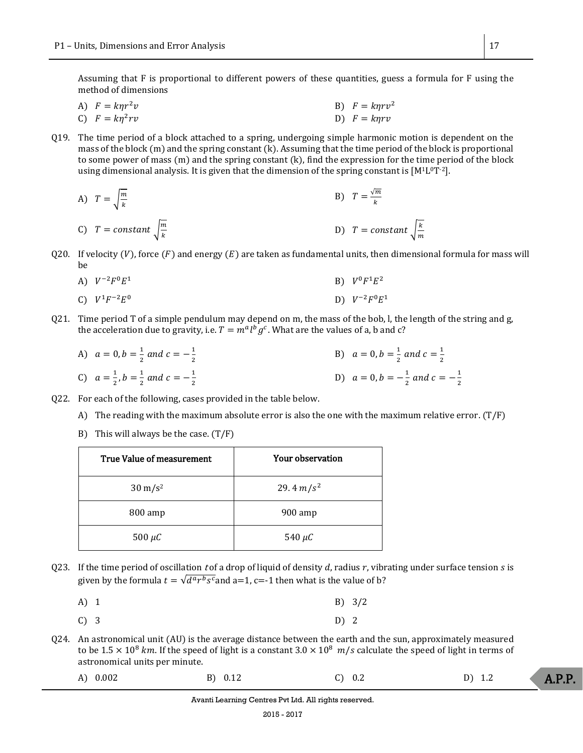Assuming that F is proportional to different powers of these quantities, guess a formula for F using the method of dimensions

A) 
$$
F = k\eta r^2 v
$$
  
\nB)  $F = k\eta r v^2$   
\nC)  $F = k\eta^2 rv$   
\nD)  $F = k\eta rv$ 

- Q19. The time period of a block attached to a spring, undergoing simple harmonic motion is dependent on the mass of the block (m) and the spring constant (k). Assuming that the time period of the block is proportional to some power of mass (m) and the spring constant (k), find the expression for the time period of the block using dimensional analysis. It is given that the dimension of the spring constant is  $[M^1L^0T^2]$ .
	- A)  $T = \frac{m}{l}$  $\boldsymbol{k}$ B)  $T = \frac{\sqrt{m}}{h}$  $\boldsymbol{k}$ C)  $T = constant \left| \frac{m}{k} \right|$  $\boldsymbol{k}$ D)  $T = constant \left| \frac{k}{m} \right|$ m
- Q20. If velocity (V), force (F) and energy (E) are taken as fundamental units, then dimensional formula for mass will  $he$ 
	- A)  $V^{-2}F^0E$ <sup>1</sup> B)  ${}^{0}F^{1}E^{2}$ C)  $V^1F^{-2}E$  $\Box$  D) V  $^{-2}F^0E^1$
- Q21. Time period T of a simple pendulum may depend on m, the mass of the bob, l, the length of the string and  $g_i$ the acceleration due to gravity, i.e.  $T = m^a l^b g^c$  . What are the values of a, b and c?
	- A)  $a = 0, b = \frac{1}{2}$  $\frac{1}{2}$  and  $c = -\frac{1}{2}$ 2 B)  $a = 0, b = \frac{1}{2}$  $rac{1}{2}$  and  $c = \frac{1}{2}$ 2 C)  $a = \frac{1}{2}$  $\frac{1}{2}$ ,  $b = \frac{1}{2}$  $\frac{1}{2}$  and  $c = -\frac{1}{2}$ 2 D)  $a = 0, b = -\frac{1}{2}$  $\frac{1}{2}$  and  $c = -\frac{1}{2}$ 2
- Q22. For each of the following, cases provided in the table below.
	- A) The reading with the maximum absolute error is also the one with the maximum relative error.  $(T/F)$
	- B) This will always be the case.  $(T/F)$

| True Value of measurement | Your observation |
|---------------------------|------------------|
| $30 \text{ m/s}^2$        | 29.4 $m/s^2$     |
| 800 amp                   | $900$ amp        |
| 500 $\mu$ C               | 540 $\mu$ C      |

Q23. If the time period of oscillation t of a drop of liquid of density d, radius r, vibrating under surface tension s is given by the formula  $t = \sqrt{d^a r^b s^c}$ and a=1, c=-1 then what is the value of b?

| A) 1 | B) 3/2 |
|------|--------|
|      |        |

- C) 3 D) 2
- Q24. An astronomical unit (AU) is the average distance between the earth and the sun, approximately measured to be 1.5  $\times$  10<sup>8</sup> km. If the speed of light is a constant 3.0  $\times$  10<sup>8</sup> m/s calculate the speed of light in terms of astronomical units per minute.
	- A.P.P. A) 0.002 B) 0.12 C) 0.2 D) 1.2

Avanti Learning Centres Pvt Ltd. All rights reserved.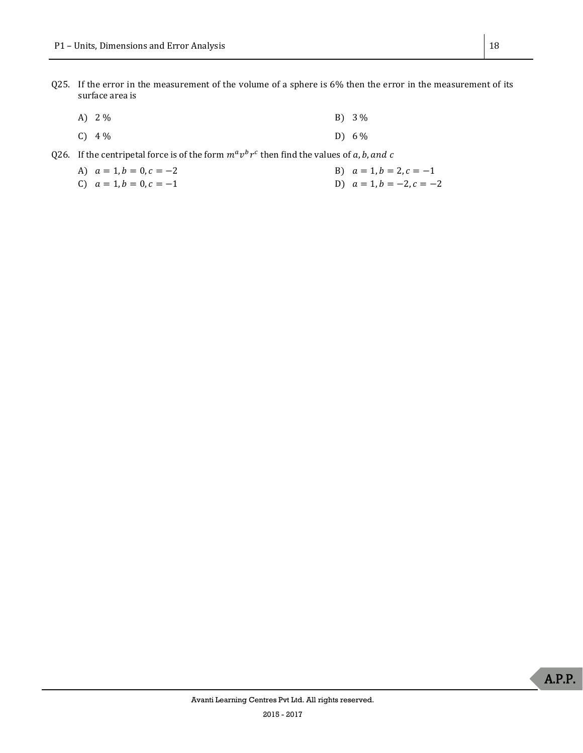Q25. If the error in the measurement of the volume of a sphere is 6% then the error in the measurement of its surface area is

| A) $2\%$ | $B) 3\%$ |
|----------|----------|
| $C) 4\%$ | D) $6\%$ |

Q26. If the centripetal force is of the form  $m^a v^b r^c$  then find the values of a, b, and c

A) 
$$
a = 1, b = 0, c = -2
$$
  
B)  $a = 1, b = 2, c = -1$ 

C)  $a = 1, b = 0, c = -1$ <br>D)  $a = 1, b = -2, c = -2$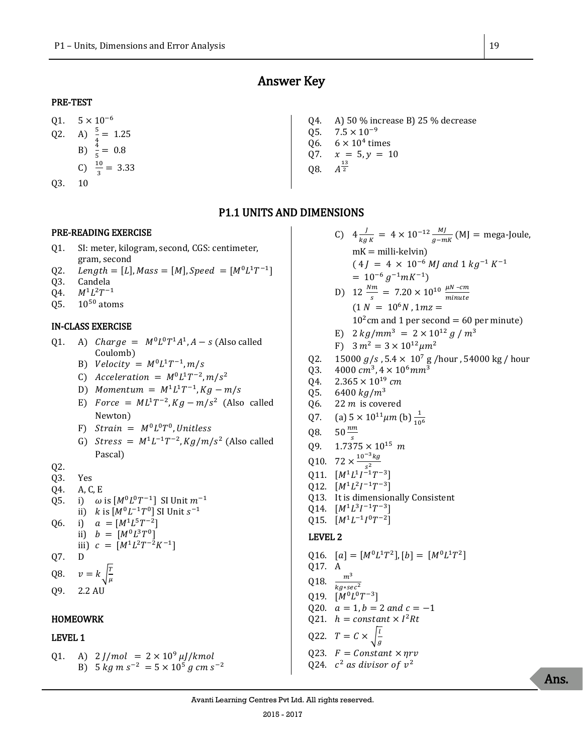# Answer Key

#### <span id="page-18-0"></span>PRE-TEST

- Q1.  $5 \times 10^{-6}$ Q2. A)  $\frac{5}{4} = 1.25$ B)  $\frac{4}{5} = 0.8$ C)  $\frac{10}{3} = 3.33$
- Q3. 10

# Q4. A) 50 % increase B) 25 % decrease

- 05.  $7.5 \times 10^{-9}$
- Q6.  $6 \times 10^4$  times
- Q7.  $x = 5, y = 10$ 13
- Q8.  $A_{2}$

## P1.1 UNITS AND DIMENSIONS

#### PRE-READING EXERCISE

- Q1. SI: meter, kilogram, second, CGS: centimeter, gram, second
- Q2. *Length* = [L],  $Mass = [M]$ ,  $Speed = [M^0L^1T^{-1}]$
- Q3. Candela
- Q4.  $M^1L^2T^{-1}$
- $Q5.$  10<sup>50</sup> atoms

#### IN-CLASS EXERCISE

- Q1. A) *Charge* =  $M^0L^0T^1A^1$ ,  $A s$  (Also called Coulomb)
	- B) Velocity =  $M^0L^1T^{-1}$ ,  $m/s$
	- C) Acceleration =  $M^0L^1T^{-2}$ ,  $m/s^2$
	- D) Momentum =  $M^1L^1T^{-1}$ ,  $Kg m/s$
	- E) Force =  $ML^1T^{-2}$ ,  $Kg m/s^2$  (Also called Newton)
	- F)  $Strain = M^0L^0T^0$ , Unitless
	- G) Stress =  $M^1L^{-1}T^{-2}$ ,  $Kg/m/s^2$  (Also called Pascal)

#### Q2.

- Q3. Yes
- Q4. A, C, E
- Q5. i)  $\omega$  is  $[M^0L^0T^{-1}]$  SI Unit  $m^{-1}$
- ii)  $k$  is  $[M^0L^{-1}T^0]$  SI Unit  $s^{-1}$
- Q6. i)  $a = [M^1 L^5 T^{-2}]$

ii) 
$$
b = [M^0 L^3 T^0]
$$
  
iii)  $c = [M^1 L^2 T^{-2} K^{-1}]$ 

iii) 
$$
c = [M^1 L^2 T^{-2} K]
$$

Q7. D

$$
Q8. \quad v = k \sqrt{\frac{T}{u}}
$$

 $\sqrt{\mu}$ Q9. 2.2 AU

# HOMEOWRK

## LEVEL 1

Q1. A)  $2 J/mol = 2 \times 10^9 \,\mu J/kmol$ B)  $5 \ kg \ m \ s^{-2} = 5 \times 10^5 \ g \ cm \ s^{-2}$ 

C)  $4\frac{J}{15}$  $\frac{J}{k g K}$  = 4 × 10<sup>-12</sup>  $\frac{M J}{g-mK}$  (MJ = mega-Joule,  $mK =$  milli-kelvin)  $(4J = 4 \times 10^{-6} MJ$  and  $1 kg^{-1} K^{-1}$  $= 10^{-6} g^{-1} m K^{-1}$ D)  $12 \frac{Nm}{s} = 7.20 \times 10^{10} \frac{\mu N - cm}{minute}$  $minute$  $(1 N = 10<sup>6</sup> N, 1 m z =$  $10<sup>2</sup>$  cm and 1 per second = 60 per minute) E)  $2 \text{ kg/mm}^3 = 2 \times 10^{12} \text{ g/m}^3$ 

F) 
$$
3 m^2 = 3 \times 10^{12} \mu m^2
$$

- Q2. 15000  $g/s$ , 5.4  $\times$  10<sup>7</sup> g/hour, 54000 kg/hour
- Q3.  $4000 \, \text{cm}^3, 4 \times 10^6 \text{mm}^3$
- Q4.  $2.365 \times 10^{19}$  cm
- Q5. 6400  $kg/m^3$
- Q6. 22  *is covered*
- Q7. (a)  $5 \times 10^{11} \mu m$  (b)  $\frac{1}{10^6}$
- Q8.  $50 \frac{nm}{s}$
- 09.  $1.7375 \times 10^{15}$  m
- Q10.  $72 \times \frac{10^{-3} kg}{a^2}$
- $s^2$ Q11.  $[M^1L^1I^{-1}T^{-3}]$
- Q12.  $[M^1L^2I^{-1}T^{-3}]$
- Q13. It is dimensionally Consistent
- Q14.  $[M^1L^3I^{-1}T^{-3}]$
- Q15.  $[M^1L^{-1}I^0T^{-2}]$

#### LEVEL 2

Q16.  $[a] = [M^0 L^1 T^2], [b] = [M^0 L^1 T^2]$ Q17. A Q18.  $\frac{m^3}{kg \cdot sec^2}$ Q19.  $[M^0L^0T^{-3}]$ Q20.  $a = 1, b = 2$  and  $c = -1$ Q21.  $h = constant \times I^2 Rt$ Q22.  $T = C \times$ l  $\overline{g}$ Q23.  $F = Constant \times \eta r v$ Q24.  $c^2$  as divisor of  $v^2$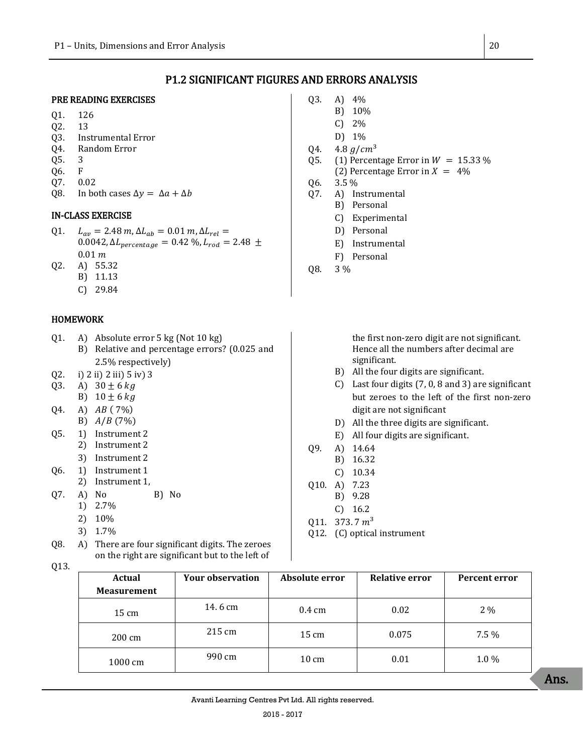## P1.2 SIGNIFICANT FIGURES AND ERRORS ANALYSIS

#### PRE READING EXERCISES

- Q1. 126
- Q2. 13
- Q3. Instrumental Error
- Q4. Random Error
- Q5. 3
- Q6. F
- Q7. 0.02
- Q8. In both cases  $\Delta y = \Delta a + \Delta b$

#### IN-CLASS EXERCISE

- Q1.  $L_{av} = 2.48 \, m, \Delta L_{ab} = 0.01 \, m, \Delta L_{rel} =$ 0.0042,  $\Delta L_{percentage}$  = 0.42 %,  $L_{rod}$  = 2.48  $\pm$  $0.01 m$
- Q2. A) 55.32
	- B) 11.13
		- C) 29.84

#### HOMEWORK

- Q1. A) Absolute error 5 kg (Not 10 kg) B) Relative and percentage errors? (0.025 and 2.5% respectively)
- Q2. i) 2 ii) 2 iii) 5 iv) 3
- 03. A)  $30 \pm 6 kg$
- B)  $10 \pm 6$  kg
- $Q4.$  A)  $AB(7%)$
- B)  $A/B$  (7%)
- Q5. 1) Instrument 2 2) Instrument 2
	- 3) Instrument 2
- Q6. 1) Instrument 1
- 2) Instrument 1,
- Q7. A) No B) No
	- 1) 2.7%
	- 2) 10%
	- 3) 1.7%
- Q8. A) There are four significant digits. The zeroes on the right are significant but to the left of
- Q13.
- Q3. A) 4%
	- B) 10%
	- C) 2%
	- D) 1%
- 04.  $4.8 \frac{q}{cm^3}$
- 05. (1) Percentage Error in  $W = 15.33\%$
- (2) Percentage Error in  $X = 4\%$
- Q6. 3.5 %
- Q7. A) Instrumental
	- B) Personal
	- C) Experimental
	- D) Personal
	- E) Instrumental
	- F) Personal
- Q8. 3 %

the first non-zero digit are not significant. Hence all the numbers after decimal are significant.

- B) All the four digits are significant.
- C) Last four digits (7, 0, 8 and 3) are significant but zeroes to the left of the first non-zero digit are not significant
- D) All the three digits are significant.
- E) All four digits are significant.
- Q9. A) 14.64
	- B) 16.32
	- C) 10.34
- Q10. A) 7.23
	- B) 9.28
- C) 16.2
- 011. 373.7 $m<sup>3</sup>$
- Q12. (C) optical instrument

| Actual             | <b>Your observation</b> | Absolute error   | <b>Relative error</b> | Percent error |
|--------------------|-------------------------|------------------|-----------------------|---------------|
| <b>Measurement</b> |                         |                  |                       |               |
| $15 \text{ cm}$    | 14.6 cm                 | $0.4 \text{ cm}$ | 0.02                  | 2 %           |
| 200 cm             | 215 cm                  | $15 \text{ cm}$  | 0.075                 | 7.5 %         |
| 1000 cm            | 990 cm                  | $10 \text{ cm}$  | 0.01                  | $1.0\%$       |

Ans.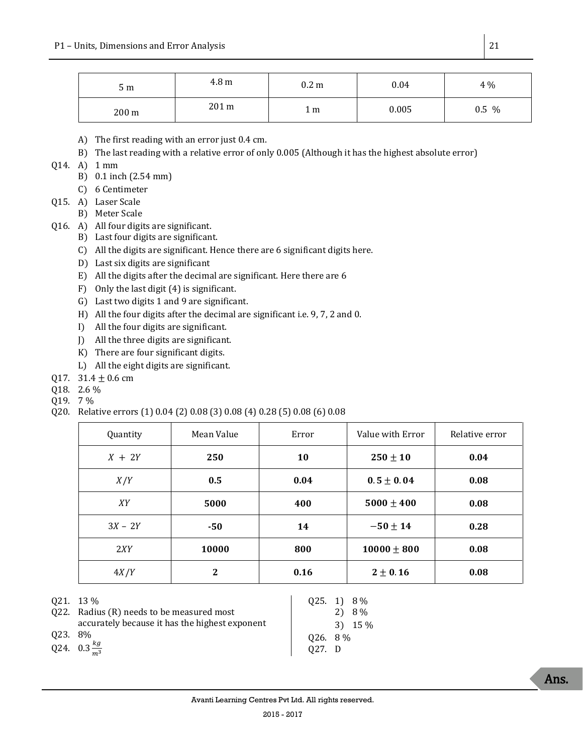| 5 <sub>m</sub> | 4.8 m | 0.2 <sub>m</sub> | 0.04  | 4 %   |
|----------------|-------|------------------|-------|-------|
| 200 m          | 201 m | 1 m              | 0.005 | 0.5 % |

- A) The first reading with an error just 0.4 cm.
- B) The last reading with a relative error of only 0.005 (Although it has the highest absolute error)
- Q14. A) 1 mm
	- B) 0.1 inch (2.54 mm)
	- C) 6 Centimeter
- Q15. A) Laser Scale
	- B) Meter Scale
- Q16. A) All four digits are significant.
	- B) Last four digits are significant.
	- C) All the digits are significant. Hence there are 6 significant digits here.
	- D) Last six digits are significant
	- E) All the digits after the decimal are significant. Here there are 6
	- F) Only the last digit (4) is significant.
	- G) Last two digits 1 and 9 are significant.
	- H) All the four digits after the decimal are significant i.e. 9, 7, 2 and 0.
	- I) All the four digits are significant.
	- J) All the three digits are significant.
	- K) There are four significant digits.
	- L) All the eight digits are significant.
- Q17.  $31.4 \pm 0.6$  cm
- Q18. 2.6 %
- Q19. 7 %
- Q20. Relative errors (1) 0.04 (2) 0.08 (3) 0.08 (4) 0.28 (5) 0.08 (6) 0.08

| Quantity  | Mean Value | Error     | Value with Error | Relative error |
|-----------|------------|-----------|------------------|----------------|
| $X + 2Y$  | 250        | <b>10</b> | $250 \pm 10$     | 0.04           |
| X/Y       | 0.5        | 0.04      | $0.5 \pm 0.04$   | 0.08           |
| XY        | 5000       | 400       | $5000 \pm 400$   | 0.08           |
| $3X - 2Y$ | -50        | 14        | $-50 \pm 14$     | 0.28           |
| 2XY       | 10000      | 800       | $10000 \pm 800$  | 0.08           |
| 4X/Y      | 2          | 0.16      | $2 \pm 0.16$     | 0.08           |

Q21. 13 %

- Q22. Radius (R) needs to be measured most accurately because it has the highest exponent
- Q23. 8%
- Q24.  $0.3 \frac{kg}{m^3}$  $m<sup>3</sup>$

Q25. 1) 8 % 2) 8 % 3) 15 % Q26. 8 % Q27. D